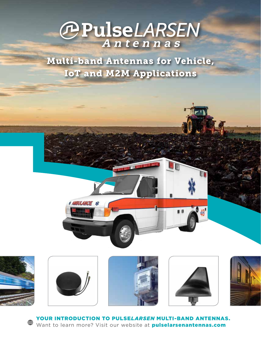# **OPulseLARSEN**

Multi-band Antennas for Vehicle, IoT and M2M Applications





**AMBULANCE XX** 







YOUR INTRODUCTION TO PULSE*LARSEN* MULTI-BAND ANTENNAS. ∰ Want to learn more? Visit our website at **pulselarsenantennas.com**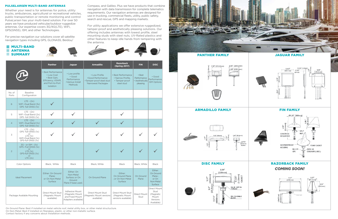



# PULSE*LARSEN* MULTI-BAND ANTENNAS

Whether your need is for antennas for police, utility trucks, ambulances, agricultural or recreational vehicles, public transportation or remote monitoring and control Pulse*Larsen* has your multi-band solution. For over 50 years we have produced vehicular/outdoor ruggedize antennas. Our expertise covers 3G/4G(LTE), WiFi, GPS(GNSS), ISM, and other Technologies.

For precise navigation our solutions cover all satellite navigation types including GPS, GLONASS, Beidou/

Compass, and Galileo. Plus we have products that combine navigation with data transmission for complete telematics requirements. Our navigation antennas are designed for use in trucking, commercial fleets, utility, public safety, search and rescue, GPS and mapping markets.

For utility applications we offer extensive ruggedized, tamper-proof and aesthetically pleasing solutions. Our offering includes antennas with lowest profile, steel mounting studs with steel nuts, UV-Rated plastics and other features to keep idle hands from tampering with the antenna.

 $\sqrt{2}$ 

On Ground Plane: Best if installed on metal vehicle roof, metal utility box, or other metal structucture. On Non-Metal: Best if installed on fiberglass, plastic, or other non-metallic surface. Contact factory if any concerns about installation methods.





|                      | ANIENNA<br><b>SUMMARY</b>                                                                                            |                                                                                                               |                                                                                    |                                                                                       |                                                                         |                                                      |                                                                      |
|----------------------|----------------------------------------------------------------------------------------------------------------------|---------------------------------------------------------------------------------------------------------------|------------------------------------------------------------------------------------|---------------------------------------------------------------------------------------|-------------------------------------------------------------------------|------------------------------------------------------|----------------------------------------------------------------------|
|                      |                                                                                                                      | <b>Panther</b>                                                                                                | <b>Jaguar</b>                                                                      | <b>Armadillo</b>                                                                      | <b>Razorback</b><br><b>(Spring 2017)</b>                                | <b>FIN</b>                                           | <b>DISC</b>                                                          |
|                      |                                                                                                                      | • Best Performance<br>• Low Cost<br>• Best Gain,<br>Efficiency, VSWR,<br>and Port-to-Port<br><b>Isolation</b> | • Low profile<br>• Good<br>Performance<br>•Various Install<br><b>Methods</b>       | • Low Profile<br>•Good Performance<br>•Tamper-proof steel stud<br>'Narrowest Package≠ | • Best Performance<br>• Narrow Profile.<br>• Tamper-proof<br>steel stud | • Best<br>Performance<br>• Aesthetically<br>pleasing | • Good<br>Performance.<br><b>ISM Options</b>                         |
| No. of<br>Ports      | <b>Baseline</b><br>Configuration                                                                                     |                                                                                                               |                                                                                    |                                                                                       |                                                                         |                                                      |                                                                      |
| 6                    | $LTE - (2x)$<br>WiFi-Dual Band (3x)<br>GPS -full GNSS (1x)                                                           |                                                                                                               |                                                                                    |                                                                                       |                                                                         |                                                      |                                                                      |
| 5                    | $LTE - (2x)$<br>WiFi-Dual Band (2x)<br>GPS -full GNSS (1x)                                                           |                                                                                                               |                                                                                    |                                                                                       |                                                                         |                                                      |                                                                      |
| $\overline{4}$       | $LTE - (2x)$<br>WiFi-Dual Band (1x)<br>GPS -full GNSS (1x)                                                           |                                                                                                               |                                                                                    |                                                                                       |                                                                         |                                                      |                                                                      |
| 3                    | $LTE - (2x)$<br>GPS -full GNSS (1x)<br>or<br>LTE(1x)<br>WiFi-Dual Band (1x)<br>GPS-full GNSS (1x)                    |                                                                                                               |                                                                                    |                                                                                       |                                                                         |                                                      |                                                                      |
| $\overline{2}$       | $3G$ - or $ISM - (1x)$<br>GPS - Full GNSS (1x)<br><b>or</b><br>LTE(1x)<br>GPS-full GNSS (1x)<br><b>or</b><br>LTE(2x) |                                                                                                               |                                                                                    |                                                                                       |                                                                         |                                                      |                                                                      |
| <b>Color Options</b> |                                                                                                                      | Black, White                                                                                                  | <b>Black</b>                                                                       | Black, White                                                                          | <b>Black</b>                                                            | Black, White                                         | <b>Black</b>                                                         |
|                      | <b>Ideal Placement</b>                                                                                               | Either: On Ground<br>Plane;<br>or On Non-Metal<br><b>Surface</b>                                              | Either: On<br>Non-Metal<br>Surface; or On<br>Ground<br>Plane if base used.         | On Ground Plane                                                                       | Either:<br>On Ground Plane<br>; or On Non-Metal<br>Surface              | On Ground<br>Plane                                   | Either:<br>On Ground<br>Plane;<br>or On<br>Non-Metal<br>Surface      |
|                      | Package Available Mounting                                                                                           | Direct Mount Stud<br>(Magnetic Mount<br>available)                                                            | <b>Adhesive Mount</b><br>(Magnetic Mount<br>and Fixed Mount<br>Adapters available) | <b>Direct Mount Stud</b><br>(Magnetic Mount versions<br>available)                    | Direct Mount Stud<br>(Magnetic Mount<br>versions available)             | Direct Mount<br>Stud                                 | Direct Mount<br>Stud<br>(Magnetic<br>Mount<br>Versions<br>Available) |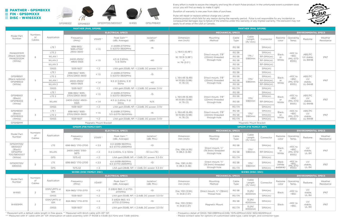\* Measured with a default cable length in free space. \*\* Measured with 6inch cable with 40" GP.

\*\*\* Measured with 4" cable with 24" GP. Attenuation of cable assembly with 17' RG58 is 4.6dB @2.7GHz and 7.3dB @6GHz.

|                                            |                                 |                                      | GPSMB302<br>GPSMB301                |                         | GPSDM700/5800GGT<br>W4165                   | GPSLPMB401                                   | apply to all areas of the USA or Canada.       |                                                         |                              |                                            |                  |                            |                                          |                                              | $\sim$                |                |               |                            |        |       |        |
|--------------------------------------------|---------------------------------|--------------------------------------|-------------------------------------|-------------------------|---------------------------------------------|----------------------------------------------|------------------------------------------------|---------------------------------------------------------|------------------------------|--------------------------------------------|------------------|----------------------------|------------------------------------------|----------------------------------------------|-----------------------|----------------|---------------|----------------------------|--------|-------|--------|
|                                            | <b>PANTHER (PAN, GPSMB)</b>     |                                      |                                     |                         |                                             | <b>PANTHER (PAN, GPSMB)</b>                  |                                                |                                                         |                              |                                            |                  |                            |                                          |                                              |                       |                |               |                            |        |       |        |
|                                            | <b>ELECTRICAL SPECS</b>         |                                      |                                     |                         |                                             |                                              | <b>MECHANICAL SPECS</b>                        |                                                         |                              |                                            |                  |                            |                                          | <b>ENVIRONMENTAL SPECS</b>                   |                       |                |               |                            |        |       |        |
| Model Part<br>Number                       | Numbers<br>of<br>Cables         | Application                          | Frequency<br>(MHz)                  | VSWR <sup>*</sup>       | Peak Gain***<br>(dBi, Average)              | Isolation*<br>(dB)                           | Dimension<br>mm (inch)                         | Mounting<br>Method                                      | Cable<br>Type                | Cable<br>Length<br>$({\rm ft}/\,{\rm mm})$ | Connector        | Radome<br>color            | Operating<br>Temp.                       | Radome                                       | Weather<br>Resistance |                |               |                            |        |       |        |
| <b>PAN62311DM</b>                          | 6                               | LTE <sub>1</sub>                     | 698-960/<br>1695-2700/<br>2900-3600 | < 1.5                   | 4 @698-2170MHz<br>5 @2170-3600MHz           | $-15$                                        | L: 164.5(6.48")                                | Direct mount, 7/8"<br>(22mm) threaded<br>through-hole   | <b>RG 58</b>                 |                                            | SMA(m)           |                            | $-40C$ to                                | ABS/PC<br>UV stable.<br><b>UL-94HB</b>       |                       |                |               |                            |        |       |        |
|                                            |                                 | LTE <sub>2</sub>                     |                                     |                         |                                             |                                              |                                                |                                                         | <b>RG 58</b>                 |                                            | SMA(m)           | <b>Black</b>               |                                          |                                              |                       |                |               |                            |        |       |        |
| (Black radome)<br>PAN62312DM               |                                 | WLAN1                                | 2400-2500/                          |                         | 4.5 @ 2.4GHz,                               | $-40$                                        | W: 151.9 (5.98")                               |                                                         | <b>RG 58</b>                 | 17ft/<br>5180mm                            | RP-SMA(m)        | or                         | $+85C$<br>(MIL-STD                       |                                              | <b>IP67</b>           |                |               |                            |        |       |        |
| (White)                                    |                                 | WLAN 2                               | 4900-5925                           | < 1.5                   | 5 @ 5GHz                                    |                                              | $\times$<br>H: 76 (3.0")                       |                                                         | <b>RG 58</b>                 |                                            | RP-SMA(m)        | White                      | 810G)                                    |                                              |                       |                |               |                            |        |       |        |
|                                            |                                 | WLAN 3                               |                                     |                         |                                             |                                              |                                                |                                                         | <b>RG 58</b>                 |                                            | RP-SMA(m)        |                            |                                          |                                              |                       |                |               |                            |        |       |        |
|                                            |                                 | GNSS                                 | 1559-1607                           | < 2                     |                                             | LNA gain:30dB, NF: < 2.5dB, DC power: 3-5V   |                                                |                                                         | <b>RG 174</b>                |                                            | SMA(m)           |                            |                                          |                                              |                       |                |               |                            |        |       |        |
|                                            |                                 | LTE <sub>1</sub>                     | 698-960/1695-                       | < 1.5                   | 4 @698-2170MHz                              | $-15$                                        | L: 164.48(6.48)<br>W:151.85 (5.98)<br>H: 76(3) |                                                         | <b>RG 58</b>                 |                                            | SMA(m)           |                            | $-40C$ to<br>$+85C$<br>(MIL-STD          |                                              | <b>IP67</b>           |                |               |                            |        |       |        |
| GPSMB501<br>(Black radome)                 |                                 | LTE <sub>2</sub>                     | 2700/2900-3600                      |                         | 5 @2170-3600MHz                             |                                              |                                                | Direct mount, 7/8"                                      | <b>RG 58</b>                 | 17ft/                                      | SMA(m)           | <b>Black</b>               |                                          | ABS/PC<br>UV<br>stable,<br><b>UL-94HB</b>    |                       |                |               |                            |        |       |        |
| GPSMB502                                   | 5                               | WLAN <sub>1</sub>                    | 2400-2500/                          | < 1.4                   | 4.5 $@$ 2.4GHz, 5 $@$                       | $-40$                                        |                                                | (22mm) threaded<br>through-hole                         | <b>RG 58</b>                 | 5180mm                                     | RP-SMA(m)        | or<br>White                |                                          |                                              |                       |                |               |                            |        |       |        |
| (White)                                    |                                 | WLAN <sub>2</sub>                    | 4900-5925                           |                         | 5GHz                                        |                                              |                                                |                                                         | <b>RG 58</b>                 |                                            | RP-SMA(m)        |                            | 810G)                                    |                                              |                       |                |               |                            |        |       |        |
|                                            |                                 | GNSS                                 | 1559-1607                           | < 2                     |                                             | LNA gain:30dB, NF: < 2.5dB, DC power: 3-5V   |                                                |                                                         | <b>RG 174</b>                |                                            | SMA(m)           |                            |                                          |                                              |                       |                |               |                            |        |       |        |
|                                            | $\overline{4}$                  | LTE <sub>1</sub>                     | 698-960/1695-<br>< 1.5              |                         | 4 @698-2170MHz                              | $-15$                                        |                                                | Direct mount, 7/8"<br>(22mm) threaded<br>through-hole   | <b>RG 58</b>                 |                                            | SMA(m)           |                            | $-40C$ to<br>$+85C$<br>(MIL-STD<br>810G) | ABS/PC<br>UV<br>stable,<br><b>UL-94HB</b>    | <b>IP67</b>           |                |               |                            |        |       |        |
| GPSMB401<br>(Black)<br>GPSMB402<br>(White) |                                 | LTE <sub>2</sub>                     | 2700/2900-3600                      |                         | 5 @2170-3600MHz                             |                                              | L: 164.48(6.48)                                |                                                         | <b>RG 58</b>                 | 17ft/<br>5180mm                            | SMA(m)           | <b>Black</b>               |                                          |                                              |                       |                |               |                            |        |       |        |
|                                            |                                 | WLAN                                 | 2400-2500/4900-<br>5925             | < 1.4                   | 4.5 $@$ 2.4GHz, 5 $@$<br>5GHz               | N/A                                          | W:151.85 (5.98)<br>H: 76(3)                    |                                                         | <b>RG 58</b>                 |                                            | RP-SMA(m)        | or<br>White                |                                          |                                              |                       |                |               |                            |        |       |        |
|                                            |                                 | <b>GNSS</b>                          | 1559-1607                           | < 2                     |                                             | LNA gain:30dB, NF: < 2.5dB, DC power: 3-5V   |                                                |                                                         | <b>RG 174</b>                |                                            | SMA(m)           |                            |                                          |                                              |                       |                |               |                            |        |       |        |
| GPSMB301<br>(Black)<br>GPSMB302<br>(White) | 3                               | LTE <sub>1</sub><br>LTE <sub>2</sub> | 698-960/1695-<br>2700/2900-3600     | < 1.5                   | 6 @698-2170MHz<br>5.5 @2170-3600MHz         | $-15$                                        | L: 164.48(6.48)<br>W:151.85 (5.98)             | Direct mount, 7/8"<br>(22mm) threaded                   | <b>RG 58</b><br><b>RG 58</b> | 17ft/<br>5180mm                            | SMA(m)<br>SMA(m) | <b>Black</b><br>or         | $-40C$ to<br>$+85C$<br>(MIL-STD          | ABS/PC<br>UV<br>stable,                      | <b>IP67</b>           |                |               |                            |        |       |        |
|                                            |                                 | <b>GNSS</b>                          | 1559-1607                           | < 2                     | LNA gain: 30dB, NF: < 2.5dB, DC power: 3-5V |                                              | H: 76(3)                                       | through-hole                                            | <b>RG 174</b>                |                                            | SMA(m)           | White                      | 810G)                                    | UL-94HB                                      |                       |                |               |                            |        |       |        |
| <b>GPSMBMM</b>                             | Magnetic Mount Bracket          |                                      |                                     |                         |                                             |                                              |                                                | Magnetic Mount Bracket                                  |                              |                                            |                  |                            |                                          |                                              |                       |                |               |                            |        |       |        |
|                                            |                                 |                                      | <b>GPSDM (FIN FAMILY:SKF)</b>       |                         |                                             |                                              | <b>GPSDM (FIN FAMILY: SKF)</b>                 |                                                         |                              |                                            |                  |                            |                                          |                                              |                       |                |               |                            |        |       |        |
|                                            | Numbers<br>of<br>Cables         |                                      |                                     | <b>ELECTRICAL SPECS</b> |                                             |                                              |                                                |                                                         |                              |                                            |                  | <b>ENVIRONMENTAL SPECS</b> |                                          |                                              |                       |                |               |                            |        |       |        |
| Model Part<br>Number                       |                                 | Application                          | Frequency<br>(MHz)                  | VSWR <sup>*</sup>       | Peak Gain **<br>(dBi, Average)              | Isolation*<br>(dB, Min.)                     | Dimension<br>mm (inch)                         | Mounting<br>Method                                      | Cable<br>Type                | Cable<br>Length<br>(t/mm)                  | Connector        | color                      | Radome   Operating<br>Temp.              | Radome                                       | Weather<br>Resistance |                |               |                            |        |       |        |
| GPSDM700/<br>5800GGT                       | 3                               | LTE                                  | 698-960/1710-2700                   | < 2.5                   | 4.4 @698-960MHz,<br>6.5 @1710-2690MHz       | $-10$                                        | Dia.: 108 (4.26)<br>H: 88.3 (3.48)             | Direct mount, 3/4"<br>(19.3mm) threaded<br>through-hole | <b>RG 58</b>                 | 17ft/<br>5180mm                            | SMA(m)           | <b>Black</b>               | $-40C$ to                                | UV<br>stable,<br><b>UL-94</b>                | <b>IP67</b>           |                |               |                            |        |       |        |
| (Black)<br>GPSDMW<br>700/5800GGT           |                                 | <b>WLAN</b>                          | 2400-2485/5150-<br>5875             | < 2                     | 3 @ 2.4GHz, 5 @ 5GHz                        | $-10$ (vs LTE)                               |                                                |                                                         | <b>RG 58</b>                 |                                            | RP-SMA(m)        | or<br>White                | $+85C$<br>(MIL-STD<br>810G)              |                                              |                       |                |               |                            |        |       |        |
| (White)                                    |                                 | GPS                                  | 1575.42                             | < 2                     |                                             | LNA gain:28dB, NF: < 1.3dB, DC power: 3.3-5V |                                                |                                                         | <b>RG 174</b>                |                                            | SMA(m)           |                            |                                          |                                              |                       |                |               |                            |        |       |        |
| GPSDM700/<br>5900GG                        | $\overline{2}$                  | LTE                                  | 698-960/1710-2700                   | < 2.5                   | 4.4 @698-960MHz,<br>6.5 @1710-2690MHz       | $-10$                                        | Dia.: 108 (4.26)<br>H: 88.3 (3.48)             | Direct mount, 3/4"<br>(19.3mm) threaded                 | <b>RG 58</b>                 | 17ft/<br>5180mm                            | SMA(m)           | <b>Black</b><br>(White     | $-40C$ to<br>$+85C$                      | UV<br>stable,                                | <b>IP67</b>           |                |               |                            |        |       |        |
|                                            |                                 | GPS                                  | 1575.42                             | < 2                     |                                             | LNA gain:28dB, NF: < 1.3dB, DC power: 3.3-5V |                                                | through-hole                                            | <b>RG 174</b>                |                                            | SMA(m)           | available)                 | (MIL-STD<br>810G)                        | <b>UL-94</b>                                 |                       |                |               |                            |        |       |        |
|                                            | <b>W4165 (DISC FAMILY: DSC)</b> |                                      |                                     |                         |                                             |                                              |                                                | <b>W4165 (DISC: DSC)</b>                                |                              |                                            |                  |                            |                                          |                                              |                       |                |               |                            |        |       |        |
|                                            | Numbers                         |                                      |                                     |                         | <b>ELECTRICAL SPECS</b>                     |                                              |                                                | <b>MECHANICAL SPECS</b>                                 |                              |                                            |                  |                            |                                          | <b>ENVIRONMENTAL SPECS</b>                   |                       |                |               |                            |        |       |        |
| Model Part<br>Number                       | of<br>Cables                    | Application                          | Frequency<br>(MHz)                  | VSWR*                   | Peak Gain***<br>(dBi, Average)              | Isolation*<br>(dB, Min.)                     | Dimension<br>mm (inch)                         | Mounting<br>Method                                      | Cable<br>Type                | Cable<br>Length<br>(t/mm)                  | Connector        | Radome<br>color            | Operating<br>Temp.                       | Radome                                       | Weather<br>Resistance |                |               |                            |        |       |        |
| W4165                                      | 2                               | GSM/UMTS or<br><b>ISM</b>            | 824-960/1710-2170                   | < 2                     | 2 @824-960, 2 @1710-<br>2170MHz             | $-10$                                        | Dia.: 100 (3.94)                               | Direct mount, 3/4" (19mm)                               | <b>RG 58</b>                 | $13.2 \text{ft}$                           | SMA(m)           | <b>Black</b>               | $-40C$ to                                | UV<br>stable,                                | <b>IP67</b>           |                |               |                            |        |       |        |
|                                            |                                 | <b>GNSS</b>                          | 1559-1607                           | < 2                     |                                             | LNA gain:30dB, NF: < 2.4dB, DC power: 3.3-5V | H: 34.8 (1.37)                                 | Thread hole                                             | <b>RG 174</b>                | 4000mm                                     | SMA(m)           |                            | $+85C$                                   | <b>UL-94</b>                                 |                       |                |               |                            |        |       |        |
| W4165MM                                    | $\overline{2}$                  | GSM/UMTS or<br><b>ISM</b>            | 824-960/1710-2170                   | < 2                     | $3$ @824-960, 4.5<br>@1710-2170MHz          | $-10$                                        | Dia.: 100 (3.94)                               |                                                         | <b>RG 58</b>                 | 13.2ft/<br>4000mm                          | SMA(m)           |                            | $-40C$ to                                | UV                                           |                       |                |               |                            |        |       |        |
|                                            |                                 |                                      |                                     |                         |                                             |                                              |                                                |                                                         |                              | GNSS                                       | 1559-1607        | < 2                        |                                          | LNA gain:30dB, NF: < 2.4dB, DC power: 3.3-5V | H: 34.8 (1.37)        | Magnetic Mount | <b>RG 174</b> | $13.2 \text{ft}$<br>4000mm | SMA(m) | Black | $+85C$ |

- Please contact sales for options of customized cable type, cable length, and connector type.

# **PANTHER - GPSMBXXX FIN - GPSDMXXX** DISC - W4165XXX







Every effort is made to assure the integrity and long life of each Pulse product. In the unfortunate event a problem does occur, you will find us ready to make it right!

Duration of warranty is one year from date of purchase.

Pulse will repair or replace without charge any Larsen antenna product which fails for any reason during the warranty period. Pulse is not responsible for any incidental or consequential damages due to failure of the antenna under this warranty or any implied warranty. This exclusion may not GPSLPMB401 apply to all areas of the USA or Canada.

<sup>-</sup> Frequency detail of GNSS: 1561.098MHz±2.046/ 1575.42MHz±1.023/ 1602.5625MHz±4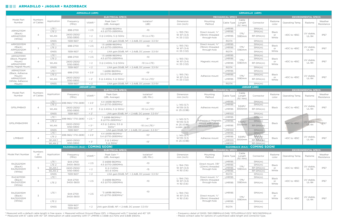# **ARMADILLO • JAGUAR • RAZORBACK**

|                                                       | <b>ARMADILLO (ARM)</b>      |                                      |                                |                      |                                                                |                                                            | <b>ARMADILLO (ARM)</b>                                    |                                                                  |                                |                            |                                       |                                      |                  |                                          |                                       |               |            |        |                             |                  |            |             |
|-------------------------------------------------------|-----------------------------|--------------------------------------|--------------------------------|----------------------|----------------------------------------------------------------|------------------------------------------------------------|-----------------------------------------------------------|------------------------------------------------------------------|--------------------------------|----------------------------|---------------------------------------|--------------------------------------|------------------|------------------------------------------|---------------------------------------|---------------|------------|--------|-----------------------------|------------------|------------|-------------|
|                                                       | <b>ELECTRICAL SPECS</b>     |                                      |                                |                      | <b>MECHANICAL SPECS</b><br><b>ENVIRONMENTAL SPECS</b>          |                                                            |                                                           |                                                                  |                                |                            |                                       |                                      |                  |                                          |                                       |               |            |        |                             |                  |            |             |
| Model Part<br>Number                                  | <b>Numbers</b><br>of Cables | Application                          | Frequency<br>(MHz)             | VSWR <sup>*</sup>    | Peak Gain **<br>(dBi, Average)                                 | Isolation*<br>(dB)                                         | Dimension<br>mm (inch)                                    | Mounting<br>Method                                               | Cable Type                     | Cable<br>Length<br>(t/mm)  | Connector                             | Radome<br>color                      | Operating Temp.  | Radome                                   | Weather<br>Resistance                 |               |            |        |                             |                  |            |             |
| <b>ARM42111DM</b><br>(Black)<br>ARM42112DM<br>(White) | $\overline{4}$              | LTE <sub>1</sub><br>LTE <sub>2</sub> | 698-2700                       | < 2.5                | 1.5 @698-960MHz<br>4.5 @1710-2690MHz                           | $-10$                                                      | L: 193(7.6)<br>W: 87 (3.4)<br>H: 33 (1.32)                | Direct mount. 3/4"<br>(19mm) threaded<br>through-hole            | <b>LMR195</b><br><b>LMR195</b> |                            | SMA(m)<br>SMA(m)                      | <b>Black</b>                         |                  | UV stable,<br><b>UL-94</b>               | <b>IP67</b>                           |               |            |        |                             |                  |            |             |
|                                                       |                             | WLAN                                 | 2400-2500/<br>5150-5900        | $\leq$ 2             | 3 @ 2.4GHz, 5 @ 5GHz                                           | $-10$ (vs LTE)                                             |                                                           |                                                                  | <b>LMR195</b>                  | 17ft/<br>5180mm            | $RP-SMA(m)$                           | or<br>White                          | $-40C$ to $+85C$ |                                          |                                       |               |            |        |                             |                  |            |             |
|                                                       |                             | <b>GNSS</b>                          | 1559-1607                      | < 2                  |                                                                | LNA gain: 30dB, NF: < 2.4dB, DC power: 3.3-5V              |                                                           |                                                                  | <b>RG174</b>                   |                            | SMA(m)                                |                                      |                  |                                          |                                       |               |            |        |                             |                  |            |             |
| ARM32011DM<br>(Black)                                 | 3                           | LTE <sub>1</sub><br>LTE <sub>2</sub> | 698-2700                       | < 2.5                | 1.5 @698-960MHz<br>4.5 @1710-2690MHz                           | $-10$                                                      | L: 193(7.6)<br>W: 87 (3.4)<br>H: 33(1.32)                 | Direct mount, 3/4"<br>(19mm) threaded<br>through-hole            | <b>LMR195</b><br><b>LMR195</b> | 17ft/<br>5180mm            | SMA(m)<br>SMA(m)                      | <b>Black</b><br>or                   | $-40C$ to $+85C$ | UV stable.                               | <b>IP67</b>                           |               |            |        |                             |                  |            |             |
| ARM32012DM<br>(White)                                 |                             | <b>GNSS</b>                          | 1559-1607                      | < 2                  |                                                                | LNA gain: 30dB, NF: < 2.4dB, DC power: 3.3-5V              |                                                           |                                                                  | <b>RG174</b>                   |                            | SMA(m)                                | White                                |                  | <b>UL-94</b>                             |                                       |               |            |        |                             |                  |            |             |
| ARM42111MM<br>(Black, Magnet                          |                             | LTE <sub>1</sub><br>LTE <sub>2</sub> | 698-2700                       | < 2.5                | 1.5 @698-960MHz<br>4.5 @1710-2690MHz                           | $-10$                                                      | L: 193(7.6)                                               | Magnetic mount                                                   | <b>LMR195</b><br><b>LMR195</b> | 17ft/<br>5180mm            | SMA(m)<br>SMA(m)                      | <b>Black</b>                         |                  | UV stable,<br><b>UL-94</b>               | <b>IP67</b>                           |               |            |        |                             |                  |            |             |
| Mount)<br>ARM42112MM                                  | $\overline{4}$              | WLAN                                 | 2400-2500/<br>5150-5900        | $\leq$ 2             | 3 @ 2.4GHz, 5 @ 5GHz                                           | $-10$ (vs LTE)                                             | W: 87 (3.4)<br>H: 33(1.32)                                |                                                                  | <b>LMR195</b>                  |                            | $RP-SMA(m)$                           | or<br>White                          | $-40C$ to $+85C$ |                                          |                                       |               |            |        |                             |                  |            |             |
| (White, Magnet Mount)                                 |                             | <b>GNSS</b>                          | 1559-1607                      | < 2                  |                                                                | LNA gain: 30dB, NF: < 2.4dB, DC power: 3.3-5V              |                                                           |                                                                  | <b>RG174</b>                   |                            | SMA(m)                                |                                      |                  |                                          |                                       |               |            |        |                             |                  |            |             |
| ARM42111AM<br>(Black, Adhesive                        |                             | LTE <sub>1</sub>                     | 698-2700                       | $< 2.5$ <sup>+</sup> | 1@698-960MHz<br>3.5 @1710-2690MHz <sup>+</sup>                 | $-15+$                                                     | L: 193(7.6)<br>W: 87 (3.4)<br>H: 33 (1.32)                | Adhesive mount                                                   | <b>LMR195</b>                  | 17ft/<br>5180mm            | SMA(m)                                | <b>Black</b>                         |                  |                                          |                                       |               |            |        |                             |                  |            |             |
| Mount)<br>ARM42112AM                                  | $\overline{4}$              | LTE <sub>2</sub><br>WLAN             | 2400-2500/                     | $2^{+}$              | 3 @ 2.4GHz, 5 @ 5GHz <sup>+</sup>                              | $-10$ (vs LTE) <sup>+</sup>                                |                                                           |                                                                  | <b>LMR195</b><br><b>LMR195</b> |                            | SMA(m)<br>RP-SMA(m)                   | or<br>White                          | $-40C$ to $+85C$ | UV stable.<br><b>UL-94</b>               | <b>IP67</b>                           |               |            |        |                             |                  |            |             |
| (White, Adhesive<br>Mount)                            |                             | <b>GNSS</b>                          | 5150-5900<br>1559-1607         | $\leq$ 2             |                                                                | LNA gain:30dB, NF: < 2.4dB, DC power: 3.3-5V               |                                                           |                                                                  | <b>RG174</b>                   |                            | SMA(m)                                |                                      |                  |                                          |                                       |               |            |        |                             |                  |            |             |
|                                                       |                             |                                      |                                | <b>JAGUAR (JAG)</b>  |                                                                |                                                            |                                                           |                                                                  |                                |                            | <b>JAGUAR (JAG)</b>                   |                                      |                  |                                          |                                       |               |            |        |                             |                  |            |             |
|                                                       |                             |                                      |                                |                      | <b>ELECTRICAL SPECS</b>                                        |                                                            |                                                           |                                                                  | <b>MECHANICAL SPECS</b>        |                            |                                       |                                      |                  | <b>ENVIRONMENTAL SPECS</b>               |                                       |               |            |        |                             |                  |            |             |
| Model Part<br>Number                                  | Numbers<br>of Cables        | Application                          | Frequency<br>(MHz)             | VSWR <sup>*</sup>    | Peak Gain<br>(dBi, Average)                                    | Isolation*<br>(dB, Min.)                                   | Dimension<br>mm (inch)                                    | Mounting<br>Method                                               | Cable Type                     | Cable<br>Length<br>(ft/mm) | Connector                             | Radome<br>color                      | Operating Temp.  | Radome                                   | Weather<br>Resistance                 |               |            |        |                             |                  |            |             |
| GPSLPMB401                                            | $\overline{4}$              | LTE <sub>1</sub><br>LTE <sub>2</sub> | 698-960/1710-2690              | $< 2.5$ <sup>+</sup> | 4.4 @698-960MHz <sup>+</sup><br>5.4 @1710-2690MHz <sup>+</sup> | $-10+$                                                     | L: $145(5.7)$                                             | Adhesive mount                                                   | <b>LMR195</b><br><b>LMR195</b> | 9.84ft/                    | SMA(m)<br>SMA(m)                      |                                      |                  | UV stable,<br><b>UL-94</b>               | <b>IP67</b>                           |               |            |        |                             |                  |            |             |
|                                                       |                             | WLAN                                 | 2400-2500/<br>5150-5900        | $< 3^{+}$            | 3 @ 2.4GHz, 5 @ 5GHz <sup>+</sup>                              | $-10$ (vs LTE) <sup>+</sup>                                | W:135 (5.3)<br>H: 25 (0.98)                               |                                                                  | <b>LMR195</b>                  | 3000mm                     | RP-SMA(m)                             | <b>Black</b>                         | $-40C$ to $+85C$ |                                          |                                       |               |            |        |                             |                  |            |             |
|                                                       |                             | <b>GNSS</b>                          | 1559-1607                      | $< 2^{+}$            |                                                                | LNA gain:30dB, NF: < 2.4dB, DC power: 3.3-5V               |                                                           |                                                                  | <b>LMR100</b>                  |                            | SMA(m)                                |                                      |                  |                                          |                                       |               |            |        |                             |                  |            |             |
| GPSLPMB401MM                                          |                             | LTE <sub>1</sub><br>LTE <sub>2</sub> | 698-960/1710-2690              | $< 2.5$ **           | 7 @698-960MHz <sup>++</sup><br>8 @1710-2690MHz**               | $-8^{++}$                                                  | L: 145(5.7)<br>W:135 (5.3)<br>H: 25(0.98)<br>H-MM: 25 (1) | Adhesive or Magnetic<br>mount with 'LPMB-<br>4BracketMM' bracket | <b>LMR195</b><br><b>LMR195</b> | 9.84ft/                    | SMA(m)<br>SMA(m)                      |                                      |                  | $UV$ stable,<br>$UL-94$                  | <b>IP67</b>                           |               |            |        |                             |                  |            |             |
|                                                       | $\overline{4}$              | WLAN                                 | 2400-2500/<br>5150-5900        | $< 3^{++}$           | 4.5 $@$ 2.4GHz, 5.5 $@$<br>$5GHz^{+1}$                         | $-10$ (vs LTE) <sup>++</sup>                               |                                                           |                                                                  | <b>LMR195</b>                  | 3000mm                     | $RP-SMA(m)$                           | <b>Black</b>                         | 40C to +85C      |                                          |                                       |               |            |        |                             |                  |            |             |
|                                                       |                             | GNSS                                 | 1559-1607                      | $< 2^{++}$           |                                                                | LNA gain:30dB, NF: < 2.4dB, DC power: 3.3-5V <sup>++</sup> |                                                           |                                                                  | <b>LMR100</b>                  |                            | SMA(m)                                |                                      |                  |                                          |                                       |               |            |        |                             |                  |            |             |
| LPMB401                                               | $\overline{4}$              | LTE <sub>1</sub><br>LTE <sub>2</sub> | 698-960/1710-2690              | $< 2.5$ <sup>+</sup> | 4.4 @698-960MHz <sup>+</sup><br>5.4 @1710-2690MHz <sup>+</sup> | $-10+$                                                     | L: 145(5.7)<br>W:135 (5.3)<br>H: 25 (0.98)                | Adhesive mount                                                   | <b>LMR195</b><br><b>LMR195</b> | 9.84ft/                    | SMA(m)<br>SMA(m)                      | <b>Black</b>                         | $-40C$ to $+85C$ | UV stable,<br><b>UL-94</b>               | <b>IP67</b>                           |               |            |        |                             |                  |            |             |
|                                                       |                             | WLAN1<br>WLAN 2                      | 2400-2500/<br>5150-5900        | $< 3^{+}$            | $3 @ 2.4GHz+$<br>$5$ @ $5$ GHz <sup>+</sup>                    | $-15+$                                                     |                                                           |                                                                  | <b>LMR100</b><br><b>LMR100</b> | 3000mm                     | RP-SMA(m)<br>$RP-SMA(m)$              |                                      |                  |                                          |                                       |               |            |        |                             |                  |            |             |
|                                                       |                             |                                      | RAZORBACK (RAZ) . COMING SOON! |                      |                                                                |                                                            |                                                           |                                                                  |                                |                            | <b>RAZORBACK (RAZ) · COMING SOON!</b> |                                      |                  |                                          |                                       |               |            |        |                             |                  |            |             |
|                                                       | Numbers                     |                                      |                                |                      | <b>ELECTRICAL SPECS</b>                                        |                                                            |                                                           |                                                                  | <b>MECHANICAL SPECS</b>        |                            |                                       |                                      |                  | <b>ENVIRONMENTAL SPECS</b>               |                                       |               |            |        |                             |                  |            |             |
| Model Part Number                                     | of<br>Cables                | Application                          | Frequency<br>(MHz)             | VSWR <sup>*</sup>    | Peak Gain **<br>(dBi, Average)                                 | Isolation*<br>(dB, Min.)                                   | Dimension<br>mm (inch)                                    | Mounting<br>Method                                               | Cable Type                     | Cable<br>Length<br>(t/mm)  | Connector                             | Radome<br>color                      | Operating Temp.  | Radome                                   | Weather<br>Resistance                 |               |            |        |                             |                  |            |             |
| <b>RAZ52211DM</b><br>(BlacK)<br>RAZ52212DM<br>(White) |                             |                                      |                                |                      | LTE <sub>1</sub><br>LTE <sub>2</sub>                           | 644-2700<br>3400-3600                                      | < 2.5                                                     | 3 @698-960MHz<br>4.5 @1710-2690MHz                               | $-10$                          | L: 194(7.6)                | Direct mount, 7/8'                    | <b>LMR195</b><br><b>LMR195</b>       | 17ft/            | SMA(m)<br>SMA(m)                         | <b>Black</b>                          |               | UV stable, |        |                             |                  |            |             |
|                                                       | - 5                         | WLAN1<br>WLAN 2                      | 2400-2500/<br>5150-5900        | < 2                  | $6$ @ 2.4GHz<br>$8.5 \omega$ 5GHz                              | $-15$                                                      | W: 87 (3.4)<br>H: 92(3.6)                                 | (22mm) threaded<br>through-hole                                  | <b>LMR195</b><br><b>LMR195</b> | 5180mm                     | RP-SMA(m)<br>RP-SMA(m)                | or<br>White                          | $-40C$ to $+85C$ | <b>UL-94</b>                             | <b>IP67</b>                           |               |            |        |                             |                  |            |             |
|                                                       |                             | <b>GNSS</b>                          | 1559-1607                      | < 2                  |                                                                | LNA gain:30dB, NF: < 2.4dB, DC power: 3.3-5V               |                                                           |                                                                  | <b>RG174</b>                   |                            | SMA(m)                                |                                      |                  |                                          |                                       |               |            |        |                             |                  |            |             |
| <b>RAZ42111DM</b><br>(Black)<br>RAZ42112DM<br>(White) | $\overline{4}$              | LTE <sub>1</sub>                     | 644-2700                       | < 2.5                | 3 @698-960MHz                                                  | $-10$                                                      | L: $194(7.6)$<br>W: 87 (3.4)                              | Direct mount, 3/4"<br>(19mm) threaded                            | <b>LMR195</b>                  | 17ft/                      | SMA(m)                                | <b>Black</b><br>or                   | $-40C$ to $+85C$ | UV stable.                               | <b>IP67</b>                           |               |            |        |                             |                  |            |             |
|                                                       |                             | LTE <sub>2</sub>                     | 3400-3600                      | 4.5 @1710-2690MHz    |                                                                | H: 92(3.6)                                                 | through-hole                                              |                                                                  | 5180mm<br><b>LMR195</b>        | SMA(m)                     | White                                 |                                      | <b>UL-94</b>     |                                          |                                       |               |            |        |                             |                  |            |             |
| RAZ32011DM<br>(Black)<br>RAZ32012DM<br>(White)        | 3                           |                                      |                                |                      |                                                                |                                                            |                                                           |                                                                  | LTE <sub>1</sub>               | 644-2700<br>3400-3600      | < 2.5                                 | "3 @698-960MHz<br>4.5 @1710-2690MHz" | $-10$            | L: 194(7.6)<br>W: 87 (3.4)<br>H: 92(3.6) | Direct mount, 3/4"<br>(19mm) threaded | <b>LMR195</b> | 17ft/      | SMA(m) | <b>Black</b><br>or<br>White | $-40C$ to $+85C$ | UV stable, | <b>IP67</b> |
|                                                       |                             |                                      |                                |                      |                                                                |                                                            |                                                           |                                                                  | LTE <sub>2</sub>               |                            |                                       |                                      |                  |                                          | through-hole                          | <b>LMR195</b> | 5180mm     | SMA(m) |                             | <b>UL-94</b>     |            |             |
|                                                       |                             | GNSS                                 | 1559-1607<br>1559-1607         | < 2                  | LNA gain:30dB, NF: < 2.4dB, DC power: 3.3-5V                   |                                                            |                                                           |                                                                  | <b>RG174</b>                   |                            | SMA(m)                                |                                      |                  |                                          |                                       |               |            |        |                             |                  |            |             |

\* Measured with a default cable length in free space. + Measured without Ground Plane (GP). ++Measured with 1" bracket and 40" GP. \*\* Measured with 6" cable with 40" GP. Attenuation of cable assembly with 17' LMR195 is 3.8dB @2.7GHz and 5.8dB @6GHz.

- Frequency detail of GNSS: 1561.098MHz±2.046/ 1575.42MHz±1.023/ 1602.5625MHz±4 - Please contact sales for options of customized cable length and connector type.